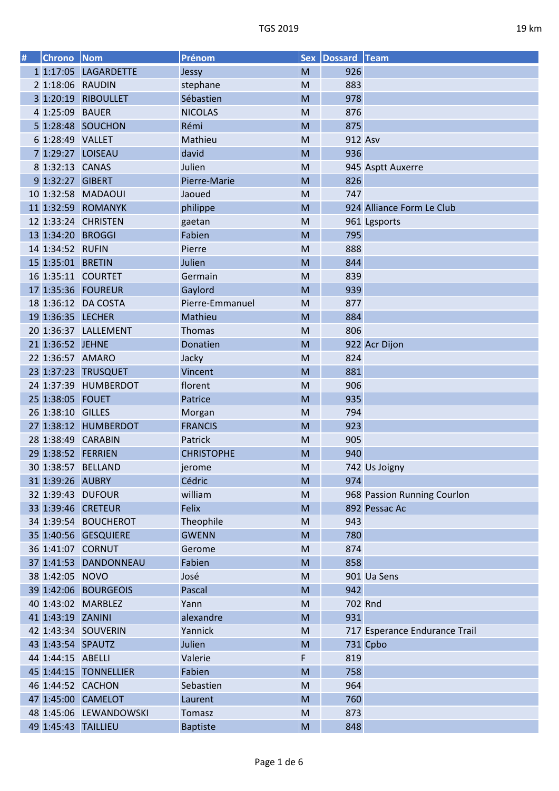| I<br>ı |
|--------|
|        |

| 926<br>1 1:17:05<br><b>LAGARDETTE</b><br>M<br>Jessy<br>2 1:18:06 RAUDIN<br>883<br>stephane<br>M<br>3 1:20:19<br>978<br><b>RIBOULLET</b><br>Sébastien<br>M<br>4 1:25:09 BAUER<br><b>NICOLAS</b><br>876<br>M<br>Rémi<br>5 1:28:48 SOUCHON<br>875<br>M<br>6 1:28:49 VALLET<br>Mathieu<br>912 Asv<br>M<br>7 1:29:27 LOISEAU<br>936<br>david<br>M<br>8 1:32:13 CANAS<br>Julien<br>M<br>945 Asptt Auxerre<br>9 1:32:27 GIBERT<br>826<br>Pierre-Marie<br>M<br>10 1:32:58 MADAOUI<br>747<br>Jaoued<br>M<br>11 1:32:59 ROMANYK<br>philippe<br>M<br>924 Alliance Form Le Club<br>12 1:33:24 CHRISTEN<br>M<br>961 Lgsports<br>gaetan<br>13 1:34:20 BROGGI<br>Fabien<br>795<br>M<br>14 1:34:52 RUFIN<br>888<br>Pierre<br>M<br>844<br>15 1:35:01 BRETIN<br>Julien<br>M<br>16 1:35:11 COURTET<br>839<br>Germain<br>M<br>17 1:35:36 FOUREUR<br>939<br>Gaylord<br>M<br>18 1:36:12 DA COSTA<br>Pierre-Emmanuel<br>877<br>M<br>884<br>19 1:36:35 LECHER<br>Mathieu<br>M<br>806<br>20 1:36:37 LALLEMENT<br>Thomas<br>M<br>922 Acr Dijon<br>21 1:36:52 JEHNE<br>M<br>Donatien<br>22 1:36:57 AMARO<br>824<br>Jacky<br>M<br>881<br>23 1:37:23 TRUSQUET<br>Vincent<br>M<br>24 1:37:39<br>906<br>HUMBERDOT<br>florent<br>M<br>935<br>25 1:38:05 FOUET<br>Patrice<br>M<br>26 1:38:10 GILLES<br>794<br>M<br>Morgan<br>27 1:38:12 HUMBERDOT<br>923<br><b>FRANCIS</b><br>M<br>28 1:38:49 CARABIN<br>905<br>Patrick<br>M<br>29 1:38:52 FERRIEN<br>940<br><b>CHRISTOPHE</b><br>M<br>30 1:38:57 BELLAND<br>M<br>742 Us Joigny<br>jerome<br>Cédric<br>M<br>31 1:39:26 AUBRY<br>974<br>32 1:39:43 DUFOUR<br>william<br>968 Passion Running Courlon<br>M<br>33 1:39:46 CRETEUR<br>Felix<br>M<br>892 Pessac Ac<br>34 1:39:54 BOUCHEROT<br>Theophile<br>943<br>M<br>780<br>35 1:40:56 GESQUIERE<br><b>GWENN</b><br>M<br>36 1:41:07 CORNUT<br>874<br>Gerome<br>M<br>858<br>37 1:41:53 DANDONNEAU<br>Fabien<br>M<br>38 1:42:05 NOVO<br>José<br>${\sf M}$<br>901 Ua Sens<br>39 1:42:06 BOURGEOIS<br>942<br>Pascal<br>M<br>40 1:43:02 MARBLEZ<br>702 Rnd<br>Yann<br>M<br>41 1:43:19 ZANINI | # | <b>Chrono</b> | Nom | Prénom    | <b>Sex</b> | Dossard Team |  |
|----------------------------------------------------------------------------------------------------------------------------------------------------------------------------------------------------------------------------------------------------------------------------------------------------------------------------------------------------------------------------------------------------------------------------------------------------------------------------------------------------------------------------------------------------------------------------------------------------------------------------------------------------------------------------------------------------------------------------------------------------------------------------------------------------------------------------------------------------------------------------------------------------------------------------------------------------------------------------------------------------------------------------------------------------------------------------------------------------------------------------------------------------------------------------------------------------------------------------------------------------------------------------------------------------------------------------------------------------------------------------------------------------------------------------------------------------------------------------------------------------------------------------------------------------------------------------------------------------------------------------------------------------------------------------------------------------------------------------------------------------------------------------------------------------------------------------------------------------------------------------------------------------------------------------------------------------------------------------------------------------------------------------------------------------|---|---------------|-----|-----------|------------|--------------|--|
|                                                                                                                                                                                                                                                                                                                                                                                                                                                                                                                                                                                                                                                                                                                                                                                                                                                                                                                                                                                                                                                                                                                                                                                                                                                                                                                                                                                                                                                                                                                                                                                                                                                                                                                                                                                                                                                                                                                                                                                                                                                    |   |               |     |           |            |              |  |
|                                                                                                                                                                                                                                                                                                                                                                                                                                                                                                                                                                                                                                                                                                                                                                                                                                                                                                                                                                                                                                                                                                                                                                                                                                                                                                                                                                                                                                                                                                                                                                                                                                                                                                                                                                                                                                                                                                                                                                                                                                                    |   |               |     |           |            |              |  |
|                                                                                                                                                                                                                                                                                                                                                                                                                                                                                                                                                                                                                                                                                                                                                                                                                                                                                                                                                                                                                                                                                                                                                                                                                                                                                                                                                                                                                                                                                                                                                                                                                                                                                                                                                                                                                                                                                                                                                                                                                                                    |   |               |     |           |            |              |  |
|                                                                                                                                                                                                                                                                                                                                                                                                                                                                                                                                                                                                                                                                                                                                                                                                                                                                                                                                                                                                                                                                                                                                                                                                                                                                                                                                                                                                                                                                                                                                                                                                                                                                                                                                                                                                                                                                                                                                                                                                                                                    |   |               |     |           |            |              |  |
|                                                                                                                                                                                                                                                                                                                                                                                                                                                                                                                                                                                                                                                                                                                                                                                                                                                                                                                                                                                                                                                                                                                                                                                                                                                                                                                                                                                                                                                                                                                                                                                                                                                                                                                                                                                                                                                                                                                                                                                                                                                    |   |               |     |           |            |              |  |
|                                                                                                                                                                                                                                                                                                                                                                                                                                                                                                                                                                                                                                                                                                                                                                                                                                                                                                                                                                                                                                                                                                                                                                                                                                                                                                                                                                                                                                                                                                                                                                                                                                                                                                                                                                                                                                                                                                                                                                                                                                                    |   |               |     |           |            |              |  |
|                                                                                                                                                                                                                                                                                                                                                                                                                                                                                                                                                                                                                                                                                                                                                                                                                                                                                                                                                                                                                                                                                                                                                                                                                                                                                                                                                                                                                                                                                                                                                                                                                                                                                                                                                                                                                                                                                                                                                                                                                                                    |   |               |     |           |            |              |  |
|                                                                                                                                                                                                                                                                                                                                                                                                                                                                                                                                                                                                                                                                                                                                                                                                                                                                                                                                                                                                                                                                                                                                                                                                                                                                                                                                                                                                                                                                                                                                                                                                                                                                                                                                                                                                                                                                                                                                                                                                                                                    |   |               |     |           |            |              |  |
|                                                                                                                                                                                                                                                                                                                                                                                                                                                                                                                                                                                                                                                                                                                                                                                                                                                                                                                                                                                                                                                                                                                                                                                                                                                                                                                                                                                                                                                                                                                                                                                                                                                                                                                                                                                                                                                                                                                                                                                                                                                    |   |               |     |           |            |              |  |
|                                                                                                                                                                                                                                                                                                                                                                                                                                                                                                                                                                                                                                                                                                                                                                                                                                                                                                                                                                                                                                                                                                                                                                                                                                                                                                                                                                                                                                                                                                                                                                                                                                                                                                                                                                                                                                                                                                                                                                                                                                                    |   |               |     |           |            |              |  |
|                                                                                                                                                                                                                                                                                                                                                                                                                                                                                                                                                                                                                                                                                                                                                                                                                                                                                                                                                                                                                                                                                                                                                                                                                                                                                                                                                                                                                                                                                                                                                                                                                                                                                                                                                                                                                                                                                                                                                                                                                                                    |   |               |     |           |            |              |  |
|                                                                                                                                                                                                                                                                                                                                                                                                                                                                                                                                                                                                                                                                                                                                                                                                                                                                                                                                                                                                                                                                                                                                                                                                                                                                                                                                                                                                                                                                                                                                                                                                                                                                                                                                                                                                                                                                                                                                                                                                                                                    |   |               |     |           |            |              |  |
|                                                                                                                                                                                                                                                                                                                                                                                                                                                                                                                                                                                                                                                                                                                                                                                                                                                                                                                                                                                                                                                                                                                                                                                                                                                                                                                                                                                                                                                                                                                                                                                                                                                                                                                                                                                                                                                                                                                                                                                                                                                    |   |               |     |           |            |              |  |
|                                                                                                                                                                                                                                                                                                                                                                                                                                                                                                                                                                                                                                                                                                                                                                                                                                                                                                                                                                                                                                                                                                                                                                                                                                                                                                                                                                                                                                                                                                                                                                                                                                                                                                                                                                                                                                                                                                                                                                                                                                                    |   |               |     |           |            |              |  |
|                                                                                                                                                                                                                                                                                                                                                                                                                                                                                                                                                                                                                                                                                                                                                                                                                                                                                                                                                                                                                                                                                                                                                                                                                                                                                                                                                                                                                                                                                                                                                                                                                                                                                                                                                                                                                                                                                                                                                                                                                                                    |   |               |     |           |            |              |  |
|                                                                                                                                                                                                                                                                                                                                                                                                                                                                                                                                                                                                                                                                                                                                                                                                                                                                                                                                                                                                                                                                                                                                                                                                                                                                                                                                                                                                                                                                                                                                                                                                                                                                                                                                                                                                                                                                                                                                                                                                                                                    |   |               |     |           |            |              |  |
|                                                                                                                                                                                                                                                                                                                                                                                                                                                                                                                                                                                                                                                                                                                                                                                                                                                                                                                                                                                                                                                                                                                                                                                                                                                                                                                                                                                                                                                                                                                                                                                                                                                                                                                                                                                                                                                                                                                                                                                                                                                    |   |               |     |           |            |              |  |
|                                                                                                                                                                                                                                                                                                                                                                                                                                                                                                                                                                                                                                                                                                                                                                                                                                                                                                                                                                                                                                                                                                                                                                                                                                                                                                                                                                                                                                                                                                                                                                                                                                                                                                                                                                                                                                                                                                                                                                                                                                                    |   |               |     |           |            |              |  |
|                                                                                                                                                                                                                                                                                                                                                                                                                                                                                                                                                                                                                                                                                                                                                                                                                                                                                                                                                                                                                                                                                                                                                                                                                                                                                                                                                                                                                                                                                                                                                                                                                                                                                                                                                                                                                                                                                                                                                                                                                                                    |   |               |     |           |            |              |  |
|                                                                                                                                                                                                                                                                                                                                                                                                                                                                                                                                                                                                                                                                                                                                                                                                                                                                                                                                                                                                                                                                                                                                                                                                                                                                                                                                                                                                                                                                                                                                                                                                                                                                                                                                                                                                                                                                                                                                                                                                                                                    |   |               |     |           |            |              |  |
|                                                                                                                                                                                                                                                                                                                                                                                                                                                                                                                                                                                                                                                                                                                                                                                                                                                                                                                                                                                                                                                                                                                                                                                                                                                                                                                                                                                                                                                                                                                                                                                                                                                                                                                                                                                                                                                                                                                                                                                                                                                    |   |               |     |           |            |              |  |
|                                                                                                                                                                                                                                                                                                                                                                                                                                                                                                                                                                                                                                                                                                                                                                                                                                                                                                                                                                                                                                                                                                                                                                                                                                                                                                                                                                                                                                                                                                                                                                                                                                                                                                                                                                                                                                                                                                                                                                                                                                                    |   |               |     |           |            |              |  |
|                                                                                                                                                                                                                                                                                                                                                                                                                                                                                                                                                                                                                                                                                                                                                                                                                                                                                                                                                                                                                                                                                                                                                                                                                                                                                                                                                                                                                                                                                                                                                                                                                                                                                                                                                                                                                                                                                                                                                                                                                                                    |   |               |     |           |            |              |  |
|                                                                                                                                                                                                                                                                                                                                                                                                                                                                                                                                                                                                                                                                                                                                                                                                                                                                                                                                                                                                                                                                                                                                                                                                                                                                                                                                                                                                                                                                                                                                                                                                                                                                                                                                                                                                                                                                                                                                                                                                                                                    |   |               |     |           |            |              |  |
|                                                                                                                                                                                                                                                                                                                                                                                                                                                                                                                                                                                                                                                                                                                                                                                                                                                                                                                                                                                                                                                                                                                                                                                                                                                                                                                                                                                                                                                                                                                                                                                                                                                                                                                                                                                                                                                                                                                                                                                                                                                    |   |               |     |           |            |              |  |
|                                                                                                                                                                                                                                                                                                                                                                                                                                                                                                                                                                                                                                                                                                                                                                                                                                                                                                                                                                                                                                                                                                                                                                                                                                                                                                                                                                                                                                                                                                                                                                                                                                                                                                                                                                                                                                                                                                                                                                                                                                                    |   |               |     |           |            |              |  |
|                                                                                                                                                                                                                                                                                                                                                                                                                                                                                                                                                                                                                                                                                                                                                                                                                                                                                                                                                                                                                                                                                                                                                                                                                                                                                                                                                                                                                                                                                                                                                                                                                                                                                                                                                                                                                                                                                                                                                                                                                                                    |   |               |     |           |            |              |  |
|                                                                                                                                                                                                                                                                                                                                                                                                                                                                                                                                                                                                                                                                                                                                                                                                                                                                                                                                                                                                                                                                                                                                                                                                                                                                                                                                                                                                                                                                                                                                                                                                                                                                                                                                                                                                                                                                                                                                                                                                                                                    |   |               |     |           |            |              |  |
|                                                                                                                                                                                                                                                                                                                                                                                                                                                                                                                                                                                                                                                                                                                                                                                                                                                                                                                                                                                                                                                                                                                                                                                                                                                                                                                                                                                                                                                                                                                                                                                                                                                                                                                                                                                                                                                                                                                                                                                                                                                    |   |               |     |           |            |              |  |
|                                                                                                                                                                                                                                                                                                                                                                                                                                                                                                                                                                                                                                                                                                                                                                                                                                                                                                                                                                                                                                                                                                                                                                                                                                                                                                                                                                                                                                                                                                                                                                                                                                                                                                                                                                                                                                                                                                                                                                                                                                                    |   |               |     |           |            |              |  |
|                                                                                                                                                                                                                                                                                                                                                                                                                                                                                                                                                                                                                                                                                                                                                                                                                                                                                                                                                                                                                                                                                                                                                                                                                                                                                                                                                                                                                                                                                                                                                                                                                                                                                                                                                                                                                                                                                                                                                                                                                                                    |   |               |     |           |            |              |  |
|                                                                                                                                                                                                                                                                                                                                                                                                                                                                                                                                                                                                                                                                                                                                                                                                                                                                                                                                                                                                                                                                                                                                                                                                                                                                                                                                                                                                                                                                                                                                                                                                                                                                                                                                                                                                                                                                                                                                                                                                                                                    |   |               |     |           |            |              |  |
|                                                                                                                                                                                                                                                                                                                                                                                                                                                                                                                                                                                                                                                                                                                                                                                                                                                                                                                                                                                                                                                                                                                                                                                                                                                                                                                                                                                                                                                                                                                                                                                                                                                                                                                                                                                                                                                                                                                                                                                                                                                    |   |               |     |           |            |              |  |
|                                                                                                                                                                                                                                                                                                                                                                                                                                                                                                                                                                                                                                                                                                                                                                                                                                                                                                                                                                                                                                                                                                                                                                                                                                                                                                                                                                                                                                                                                                                                                                                                                                                                                                                                                                                                                                                                                                                                                                                                                                                    |   |               |     |           |            |              |  |
|                                                                                                                                                                                                                                                                                                                                                                                                                                                                                                                                                                                                                                                                                                                                                                                                                                                                                                                                                                                                                                                                                                                                                                                                                                                                                                                                                                                                                                                                                                                                                                                                                                                                                                                                                                                                                                                                                                                                                                                                                                                    |   |               |     |           |            |              |  |
|                                                                                                                                                                                                                                                                                                                                                                                                                                                                                                                                                                                                                                                                                                                                                                                                                                                                                                                                                                                                                                                                                                                                                                                                                                                                                                                                                                                                                                                                                                                                                                                                                                                                                                                                                                                                                                                                                                                                                                                                                                                    |   |               |     |           |            |              |  |
|                                                                                                                                                                                                                                                                                                                                                                                                                                                                                                                                                                                                                                                                                                                                                                                                                                                                                                                                                                                                                                                                                                                                                                                                                                                                                                                                                                                                                                                                                                                                                                                                                                                                                                                                                                                                                                                                                                                                                                                                                                                    |   |               |     |           |            |              |  |
|                                                                                                                                                                                                                                                                                                                                                                                                                                                                                                                                                                                                                                                                                                                                                                                                                                                                                                                                                                                                                                                                                                                                                                                                                                                                                                                                                                                                                                                                                                                                                                                                                                                                                                                                                                                                                                                                                                                                                                                                                                                    |   |               |     |           |            |              |  |
|                                                                                                                                                                                                                                                                                                                                                                                                                                                                                                                                                                                                                                                                                                                                                                                                                                                                                                                                                                                                                                                                                                                                                                                                                                                                                                                                                                                                                                                                                                                                                                                                                                                                                                                                                                                                                                                                                                                                                                                                                                                    |   |               |     |           |            |              |  |
|                                                                                                                                                                                                                                                                                                                                                                                                                                                                                                                                                                                                                                                                                                                                                                                                                                                                                                                                                                                                                                                                                                                                                                                                                                                                                                                                                                                                                                                                                                                                                                                                                                                                                                                                                                                                                                                                                                                                                                                                                                                    |   |               |     |           |            |              |  |
|                                                                                                                                                                                                                                                                                                                                                                                                                                                                                                                                                                                                                                                                                                                                                                                                                                                                                                                                                                                                                                                                                                                                                                                                                                                                                                                                                                                                                                                                                                                                                                                                                                                                                                                                                                                                                                                                                                                                                                                                                                                    |   |               |     | alexandre | M          | 931          |  |
| 42 1:43:34 SOUVERIN<br>Yannick<br>717 Esperance Endurance Trail<br>M                                                                                                                                                                                                                                                                                                                                                                                                                                                                                                                                                                                                                                                                                                                                                                                                                                                                                                                                                                                                                                                                                                                                                                                                                                                                                                                                                                                                                                                                                                                                                                                                                                                                                                                                                                                                                                                                                                                                                                               |   |               |     |           |            |              |  |
| 731 Cpbo<br>43 1:43:54 SPAUTZ<br>Julien<br>M                                                                                                                                                                                                                                                                                                                                                                                                                                                                                                                                                                                                                                                                                                                                                                                                                                                                                                                                                                                                                                                                                                                                                                                                                                                                                                                                                                                                                                                                                                                                                                                                                                                                                                                                                                                                                                                                                                                                                                                                       |   |               |     |           |            |              |  |
| 44 1:44:15 ABELLI<br>Valerie<br>F<br>819                                                                                                                                                                                                                                                                                                                                                                                                                                                                                                                                                                                                                                                                                                                                                                                                                                                                                                                                                                                                                                                                                                                                                                                                                                                                                                                                                                                                                                                                                                                                                                                                                                                                                                                                                                                                                                                                                                                                                                                                           |   |               |     |           |            |              |  |
| 45 1:44:15 TONNELLIER<br>Fabien<br>758<br>M                                                                                                                                                                                                                                                                                                                                                                                                                                                                                                                                                                                                                                                                                                                                                                                                                                                                                                                                                                                                                                                                                                                                                                                                                                                                                                                                                                                                                                                                                                                                                                                                                                                                                                                                                                                                                                                                                                                                                                                                        |   |               |     |           |            |              |  |
| 46 1:44:52 CACHON<br>Sebastien<br>964<br>M                                                                                                                                                                                                                                                                                                                                                                                                                                                                                                                                                                                                                                                                                                                                                                                                                                                                                                                                                                                                                                                                                                                                                                                                                                                                                                                                                                                                                                                                                                                                                                                                                                                                                                                                                                                                                                                                                                                                                                                                         |   |               |     |           |            |              |  |
| M<br>760<br>47 1:45:00 CAMELOT<br>Laurent                                                                                                                                                                                                                                                                                                                                                                                                                                                                                                                                                                                                                                                                                                                                                                                                                                                                                                                                                                                                                                                                                                                                                                                                                                                                                                                                                                                                                                                                                                                                                                                                                                                                                                                                                                                                                                                                                                                                                                                                          |   |               |     |           |            |              |  |
| 48 1:45:06 LEWANDOWSKI<br>873<br>Tomasz<br>M                                                                                                                                                                                                                                                                                                                                                                                                                                                                                                                                                                                                                                                                                                                                                                                                                                                                                                                                                                                                                                                                                                                                                                                                                                                                                                                                                                                                                                                                                                                                                                                                                                                                                                                                                                                                                                                                                                                                                                                                       |   |               |     |           |            |              |  |
| 848<br>49 1:45:43 TAILLIEU<br>M<br><b>Baptiste</b>                                                                                                                                                                                                                                                                                                                                                                                                                                                                                                                                                                                                                                                                                                                                                                                                                                                                                                                                                                                                                                                                                                                                                                                                                                                                                                                                                                                                                                                                                                                                                                                                                                                                                                                                                                                                                                                                                                                                                                                                 |   |               |     |           |            |              |  |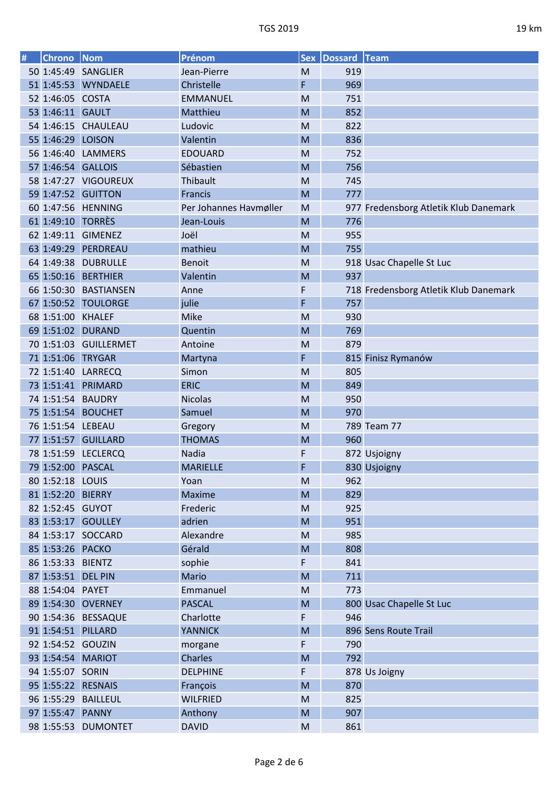| # | <b>Chrono</b>      | Nom                   | Prénom                 | <b>Sex</b>  | <b>Dossard Team</b> |                                       |
|---|--------------------|-----------------------|------------------------|-------------|---------------------|---------------------------------------|
|   |                    | 50 1:45:49 SANGLIER   | Jean-Pierre            | M           | 919                 |                                       |
|   |                    | 51 1:45:53 WYNDAELE   | Christelle             | F           | 969                 |                                       |
|   | 52 1:46:05 COSTA   |                       | <b>EMMANUEL</b>        | M           | 751                 |                                       |
|   | 53 1:46:11 GAULT   |                       | Matthieu               | M           | 852                 |                                       |
|   |                    | 54 1:46:15 CHAULEAU   | Ludovic                | M           | 822                 |                                       |
|   | 55 1:46:29 LOISON  |                       | Valentin               | M           | 836                 |                                       |
|   |                    | 56 1:46:40 LAMMERS    | <b>EDOUARD</b>         | M           | 752                 |                                       |
|   | 57 1:46:54 GALLOIS |                       | Sébastien              | M           | 756                 |                                       |
|   |                    | 58 1:47:27 VIGOUREUX  | Thibault               | M           | 745                 |                                       |
|   |                    | 59 1:47:52 GUITTON    | Francis                | M           | 777                 |                                       |
|   |                    | 60 1:47:56 HENNING    | Per Johannes Havmøller | M           |                     | 977 Fredensborg Atletik Klub Danemark |
|   | 61 1:49:10 TORRÈS  |                       | Jean-Louis             | M           | 776                 |                                       |
|   |                    | 62 1:49:11 GIMENEZ    | Joël                   | M           | 955                 |                                       |
|   |                    | 63 1:49:29 PERDREAU   | mathieu                | M           | 755                 |                                       |
|   |                    | 64 1:49:38 DUBRULLE   | <b>Benoit</b>          | M           |                     | 918 Usac Chapelle St Luc              |
|   |                    | 65 1:50:16 BERTHIER   | Valentin               | M           | 937                 |                                       |
|   |                    | 66 1:50:30 BASTIANSEN | Anne                   | F           |                     | 718 Fredensborg Atletik Klub Danemark |
|   |                    | 67 1:50:52 TOULORGE   | julie                  | F           | 757                 |                                       |
|   | 68 1:51:00 KHALEF  |                       | Mike                   | M           | 930                 |                                       |
|   |                    | 69 1:51:02 DURAND     | Quentin                | M           | 769                 |                                       |
|   |                    | 70 1:51:03 GUILLERMET | Antoine                | M           | 879                 |                                       |
|   | 71 1:51:06 TRYGAR  |                       | Martyna                | F           |                     | 815 Finisz Rymanów                    |
|   |                    | 72 1:51:40 LARRECQ    | Simon                  | M           | 805                 |                                       |
|   |                    | 73 1:51:41 PRIMARD    | <b>ERIC</b>            | M           | 849                 |                                       |
|   | 74 1:51:54 BAUDRY  |                       | <b>Nicolas</b>         | M           | 950                 |                                       |
|   |                    | 75 1:51:54 BOUCHET    | Samuel                 | M           | 970                 |                                       |
|   | 76 1:51:54 LEBEAU  |                       | Gregory                | M           |                     | 789 Team 77                           |
|   |                    | 77 1:51:57 GUILLARD   | <b>THOMAS</b>          | M           | 960                 |                                       |
|   |                    | 78 1:51:59 LECLERCQ   | Nadia                  | F           |                     | 872 Usjoigny                          |
|   | 79 1:52:00 PASCAL  |                       | <b>MARIELLE</b>        | F           |                     | 830 Usjoigny                          |
|   | 80 1:52:18 LOUIS   |                       | Yoan                   | M           | 962                 |                                       |
|   | 81 1:52:20 BIERRY  |                       | Maxime                 | M           | 829                 |                                       |
|   | 82 1:52:45 GUYOT   |                       | Frederic               | M           | 925                 |                                       |
|   |                    | 83 1:53:17 GOULLEY    | adrien                 | M           | 951                 |                                       |
|   |                    | 84 1:53:17 SOCCARD    | Alexandre              | M           | 985                 |                                       |
|   | 85 1:53:26 PACKO   |                       | Gérald                 | M           | 808                 |                                       |
|   | 86 1:53:33 BIENTZ  |                       | sophie                 | $\mathsf F$ | 841                 |                                       |
|   | 87 1:53:51 DEL PIN |                       | Mario                  | M           | 711                 |                                       |
|   | 88 1:54:04 PAYET   |                       | Emmanuel               | M           | 773                 |                                       |
|   |                    | 89 1:54:30 OVERNEY    | <b>PASCAL</b>          | M           |                     | 800 Usac Chapelle St Luc              |
|   |                    | 90 1:54:36 BESSAQUE   | Charlotte              | F           | 946                 |                                       |
|   | 91 1:54:51 PILLARD |                       | <b>YANNICK</b>         | M           |                     | 896 Sens Route Trail                  |
|   | 92 1:54:52 GOUZIN  |                       | morgane                | F           | 790                 |                                       |
|   | 93 1:54:54 MARIOT  |                       | Charles                | M           | 792                 |                                       |
|   | 94 1:55:07 SORIN   |                       | <b>DELPHINE</b>        | F           |                     | 878 Us Joigny                         |
|   | 95 1:55:22 RESNAIS |                       | François               | M           | 870                 |                                       |
|   |                    | 96 1:55:29 BAILLEUL   | <b>WILFRIED</b>        | M           | 825                 |                                       |
|   | 97 1:55:47 PANNY   |                       | Anthony                | M           | 907                 |                                       |
|   |                    | 98 1:55:53 DUMONTET   | <b>DAVID</b>           | M           | 861                 |                                       |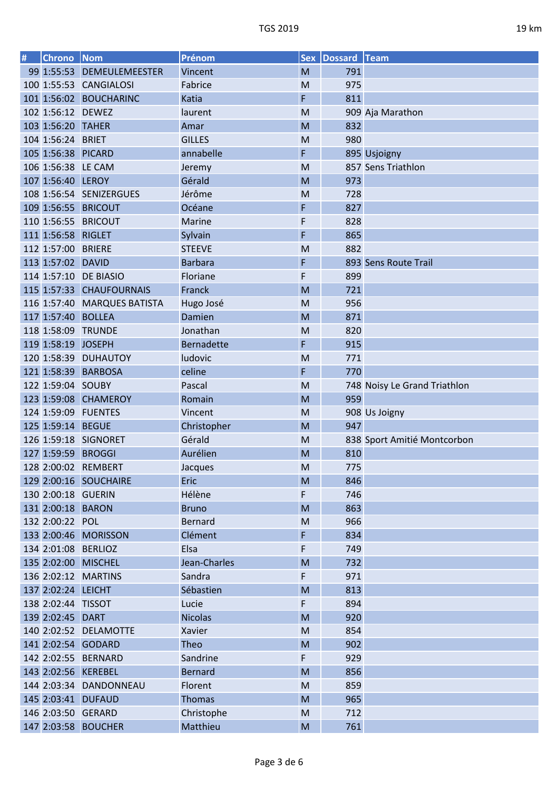| # | Chrono   Nom       |                             | Prénom            |           | Sex   Dossard   Team |                              |
|---|--------------------|-----------------------------|-------------------|-----------|----------------------|------------------------------|
|   |                    | 99 1:55:53 DEMEULEMEESTER   | Vincent           | M         | 791                  |                              |
|   |                    | 100 1:55:53 CANGIALOSI      | Fabrice           | M         | 975                  |                              |
|   |                    | 101 1:56:02 BOUCHARINC      | Katia             | F         | 811                  |                              |
|   | 102 1:56:12 DEWEZ  |                             | laurent           | M         |                      | 909 Aja Marathon             |
|   | 103 1:56:20 TAHER  |                             | Amar              | M         | 832                  |                              |
|   | 104 1:56:24 BRIET  |                             | <b>GILLES</b>     | M         | 980                  |                              |
|   | 105 1:56:38 PICARD |                             | annabelle         | F         |                      | 895 Usjoigny                 |
|   | 106 1:56:38 LE CAM |                             | Jeremy            | M         |                      | 857 Sens Triathlon           |
|   | 107 1:56:40 LEROY  |                             | Gérald            | M         | 973                  |                              |
|   |                    | 108 1:56:54 SENIZERGUES     | Jérôme            | M         | 728                  |                              |
|   |                    | 109 1:56:55 BRICOUT         | Océane            | F         | 827                  |                              |
|   |                    | 110 1:56:55 BRICOUT         | Marine            | F         | 828                  |                              |
|   | 111 1:56:58 RIGLET |                             | Sylvain           | F         | 865                  |                              |
|   | 112 1:57:00 BRIERE |                             | <b>STEEVE</b>     | M         | 882                  |                              |
|   | 113 1:57:02 DAVID  |                             | <b>Barbara</b>    | F         |                      | 893 Sens Route Trail         |
|   |                    | 114 1:57:10 DE BIASIO       | Floriane          | F         | 899                  |                              |
|   |                    | 115 1:57:33 CHAUFOURNAIS    | Franck            | M         | 721                  |                              |
|   |                    | 116 1:57:40 MARQUES BATISTA | Hugo José         | M         | 956                  |                              |
|   | 117 1:57:40 BOLLEA |                             | Damien            | M         | 871                  |                              |
|   |                    | 118 1:58:09 TRUNDE          | Jonathan          | M         | 820                  |                              |
|   | 119 1:58:19 JOSEPH |                             | <b>Bernadette</b> | F         | 915                  |                              |
|   |                    | 120 1:58:39 DUHAUTOY        | ludovic           | M         | 771                  |                              |
|   |                    | 121 1:58:39 BARBOSA         | celine            | F         | 770                  |                              |
|   | 122 1:59:04 SOUBY  |                             | Pascal            | M         |                      | 748 Noisy Le Grand Triathlon |
|   |                    | 123 1:59:08 CHAMEROY        | Romain            | M         | 959                  |                              |
|   |                    | 124 1:59:09 FUENTES         | Vincent           | M         |                      | 908 Us Joigny                |
|   | 125 1:59:14 BEGUE  |                             | Christopher       | M         | 947                  |                              |
|   |                    | 126 1:59:18 SIGNORET        | Gérald            | M         |                      | 838 Sport Amitié Montcorbon  |
|   | 127 1:59:59 BROGGI |                             | Aurélien          | M         | 810                  |                              |
|   |                    | 128 2:00:02 REMBERT         | Jacques           | M         | 775                  |                              |
|   |                    | 129 2:00:16 SOUCHAIRE       | <b>Eric</b>       | M         | 846                  |                              |
|   | 130 2:00:18 GUERIN |                             | Hélène            | F         | 746                  |                              |
|   | 131 2:00:18 BARON  |                             | <b>Bruno</b>      | M         | 863                  |                              |
|   | 132 2:00:22 POL    |                             | <b>Bernard</b>    | M         | 966                  |                              |
|   |                    | 133 2:00:46 MORISSON        | Clément           | F         | 834                  |                              |
|   |                    | 134 2:01:08 BERLIOZ         | Elsa              | F         | 749                  |                              |
|   |                    | 135 2:02:00 MISCHEL         | Jean-Charles      | M         | 732                  |                              |
|   |                    | 136 2:02:12 MARTINS         | Sandra            | F         | 971                  |                              |
|   | 137 2:02:24 LEICHT |                             | Sébastien         | M         | 813                  |                              |
|   | 138 2:02:44 TISSOT |                             | Lucie             | F         | 894                  |                              |
|   | 139 2:02:45 DART   |                             | <b>Nicolas</b>    | M         | 920                  |                              |
|   |                    | 140 2:02:52 DELAMOTTE       | Xavier            | M         | 854                  |                              |
|   |                    | 141 2:02:54 GODARD          | Theo              | M         | 902                  |                              |
|   |                    | 142 2:02:55 BERNARD         | Sandrine          | F         | 929                  |                              |
|   |                    | 143 2:02:56 KEREBEL         | <b>Bernard</b>    | M         | 856                  |                              |
|   |                    | 144 2:03:34 DANDONNEAU      | Florent           | M         | 859                  |                              |
|   |                    | 145 2:03:41 DUFAUD          | Thomas            | M         | 965                  |                              |
|   |                    | 146 2:03:50 GERARD          | Christophe        | M         | 712                  |                              |
|   |                    | 147 2:03:58 BOUCHER         | Matthieu          | ${\sf M}$ | 761                  |                              |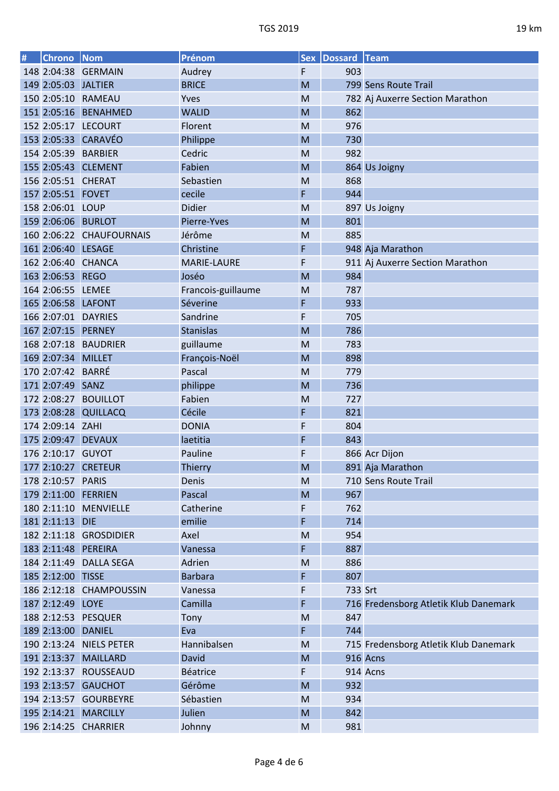| # | <b>Chrono</b>       | Nom                      | Prénom                  | <b>Sex</b> | Dossard Team |                                       |
|---|---------------------|--------------------------|-------------------------|------------|--------------|---------------------------------------|
|   |                     | 148 2:04:38 GERMAIN      | Audrey                  | F          | 903          |                                       |
|   | 149 2:05:03 JALTIER |                          | <b>BRICE</b>            | M          |              | 799 Sens Route Trail                  |
|   |                     | 150 2:05:10 RAMEAU       | Yves                    | M          |              | 782 Aj Auxerre Section Marathon       |
|   |                     | 151 2:05:16 BENAHMED     | <b>WALID</b>            | M          | 862          |                                       |
|   |                     | 152 2:05:17 LECOURT      | Florent                 | M          | 976          |                                       |
|   |                     | 153 2:05:33 CARAVÉO      | Philippe                | M          | 730          |                                       |
|   |                     | 154 2:05:39 BARBIER      | Cedric                  | M          | 982          |                                       |
|   |                     | 155 2:05:43 CLEMENT      | Fabien                  | M          |              | 864 Us Joigny                         |
|   | 156 2:05:51 CHERAT  |                          | Sebastien               | M          | 868          |                                       |
|   | 157 2:05:51 FOVET   |                          | cecile                  | F          | 944          |                                       |
|   | 158 2:06:01 LOUP    |                          | <b>Didier</b>           | M          |              | 897 Us Joigny                         |
|   | 159 2:06:06 BURLOT  |                          | Pierre-Yves             | M          | 801          |                                       |
|   |                     | 160 2:06:22 CHAUFOURNAIS | Jérôme                  | M          | 885          |                                       |
|   | 161 2:06:40 LESAGE  |                          | Christine               | F          |              | 948 Aja Marathon                      |
|   |                     | 162 2:06:40 CHANCA       | <b>MARIE-LAURE</b>      | F          |              | 911 Aj Auxerre Section Marathon       |
|   | 163 2:06:53 REGO    |                          | Joséo                   | M          | 984          |                                       |
|   | 164 2:06:55 LEMEE   |                          | Francois-guillaume      | M          | 787          |                                       |
|   | 165 2:06:58 LAFONT  |                          | Séverine                | F          | 933          |                                       |
|   |                     | 166 2:07:01 DAYRIES      | Sandrine                | F          | 705          |                                       |
|   | 167 2:07:15 PERNEY  |                          | <b>Stanislas</b>        | M          | 786          |                                       |
|   |                     | 168 2:07:18 BAUDRIER     | guillaume               | M          | 783          |                                       |
|   | 169 2:07:34 MILLET  |                          | François-Noël           | M          | 898          |                                       |
|   | 170 2:07:42 BARRÉ   |                          | Pascal                  | M          | 779          |                                       |
|   | 171 2:07:49 SANZ    |                          | philippe                | M          | 736          |                                       |
|   |                     | 172 2:08:27 BOUILLOT     | Fabien                  | M          | 727          |                                       |
|   | 173 2:08:28         | <b>QUILLACQ</b>          | Cécile                  | F          | 821          |                                       |
|   | 174 2:09:14 ZAHI    |                          | <b>DONIA</b>            | F          | 804          |                                       |
|   |                     | 175 2:09:47 DEVAUX       |                         | F          | 843          |                                       |
|   | 176 2:10:17 GUYOT   |                          | laetitia<br>Pauline     |            |              |                                       |
|   | 177 2:10:27         | <b>CRETEUR</b>           |                         | F          |              | 866 Acr Dijon                         |
|   |                     |                          | <b>Thierry</b><br>Denis | M          |              | 891 Aja Marathon                      |
|   | 178 2:10:57 PARIS   |                          |                         | M          |              | 710 Sens Route Trail                  |
|   |                     | 179 2:11:00 FERRIEN      | Pascal                  | M          | 967          |                                       |
|   |                     | 180 2:11:10 MENVIELLE    | Catherine               | F          | 762          |                                       |
|   | 181 2:11:13 DIE     |                          | emilie                  | F          | 714          |                                       |
|   |                     | 182 2:11:18 GROSDIDIER   | Axel                    | M          | 954          |                                       |
|   |                     | 183 2:11:48 PEREIRA      | Vanessa                 | F          | 887          |                                       |
|   |                     | 184 2:11:49 DALLA SEGA   | Adrien                  | M          | 886          |                                       |
|   | 185 2:12:00 TISSE   |                          | <b>Barbara</b>          | F          | 807          |                                       |
|   |                     | 186 2:12:18 CHAMPOUSSIN  | Vanessa                 | F          | 733 Srt      |                                       |
|   | 187 2:12:49 LOYE    |                          | Camilla                 | F          |              | 716 Fredensborg Atletik Klub Danemark |
|   |                     | 188 2:12:53 PESQUER      | Tony                    | M          | 847          |                                       |
|   | 189 2:13:00 DANIEL  |                          | Eva                     | F          | 744          |                                       |
|   |                     | 190 2:13:24 NIELS PETER  | Hannibalsen             | M          |              | 715 Fredensborg Atletik Klub Danemark |
|   |                     | 191 2:13:37 MAILLARD     | David                   | M          |              | 916 Acns                              |
|   |                     | 192 2:13:37 ROUSSEAUD    | Béatrice                | F          |              | 914 Acns                              |
|   |                     | 193 2:13:57 GAUCHOT      | Gérôme                  | M          | 932          |                                       |
|   |                     | 194 2:13:57 GOURBEYRE    | Sébastien               | M          | 934          |                                       |
|   |                     | 195 2:14:21 MARCILLY     | Julien                  | ${\sf M}$  | 842          |                                       |
|   |                     | 196 2:14:25 CHARRIER     | Johnny                  | M          | 981          |                                       |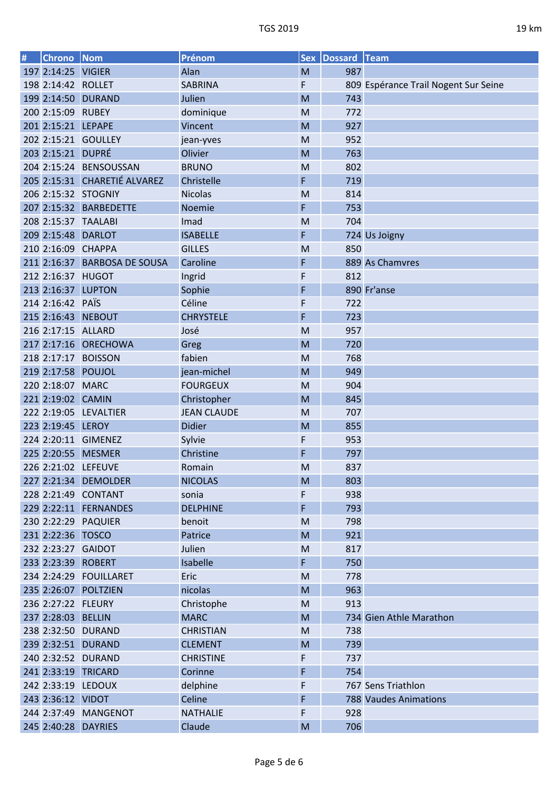| # | <b>Chrono</b>      | Nom                          | Prénom             | <b>Sex</b> | Dossard Team |                                      |
|---|--------------------|------------------------------|--------------------|------------|--------------|--------------------------------------|
|   | 197 2:14:25 VIGIER |                              | Alan               | M          | 987          |                                      |
|   | 198 2:14:42 ROLLET |                              | <b>SABRINA</b>     | F          |              | 809 Espérance Trail Nogent Sur Seine |
|   |                    | 199 2:14:50 DURAND           | Julien             | M          | 743          |                                      |
|   | 200 2:15:09 RUBEY  |                              | dominique          | M          | 772          |                                      |
|   | 201 2:15:21 LEPAPE |                              | Vincent            | M          | 927          |                                      |
|   |                    | 202 2:15:21 GOULLEY          | jean-yves          | M          | 952          |                                      |
|   | 203 2:15:21 DUPRÉ  |                              | Olivier            | M          | 763          |                                      |
|   |                    | 204 2:15:24 BENSOUSSAN       | <b>BRUNO</b>       | M          | 802          |                                      |
|   |                    | 205 2:15:31 CHARETIÉ ALVAREZ | Christelle         | F          | 719          |                                      |
|   |                    | 206 2:15:32 STOGNIY          | <b>Nicolas</b>     | M          | 814          |                                      |
|   |                    | 207 2:15:32 BARBEDETTE       | Noemie             | F          | 753          |                                      |
|   |                    | 208 2:15:37 TAALABI          | Imad               | M          | 704          |                                      |
|   | 209 2:15:48 DARLOT |                              | <b>ISABELLE</b>    | F          |              | 724 Us Joigny                        |
|   | 210 2:16:09 CHAPPA |                              | <b>GILLES</b>      | M          | 850          |                                      |
|   |                    | 211 2:16:37 BARBOSA DE SOUSA | Caroline           | F          |              | 889 As Chamvres                      |
|   | 212 2:16:37 HUGOT  |                              | Ingrid             | F          | 812          |                                      |
|   | 213 2:16:37 LUPTON |                              | Sophie             | F          |              | 890 Fr'anse                          |
|   | 214 2:16:42 PAÏS   |                              | Céline             | F          | 722          |                                      |
|   |                    | 215 2:16:43 NEBOUT           | <b>CHRYSTELE</b>   | F          | 723          |                                      |
|   | 216 2:17:15 ALLARD |                              | José               | M          | 957          |                                      |
|   | 217 2:17:16        | <b>ORECHOWA</b>              | Greg               | M          | 720          |                                      |
|   |                    | 218 2:17:17 BOISSON          | fabien             | M          | 768          |                                      |
|   | 219 2:17:58 POUJOL |                              | jean-michel        | M          | 949          |                                      |
|   | 220 2:18:07 MARC   |                              | <b>FOURGEUX</b>    | M          | 904          |                                      |
|   | 221 2:19:02 CAMIN  |                              | Christopher        | M          | 845          |                                      |
|   |                    | 222 2:19:05 LEVALTIER        | <b>JEAN CLAUDE</b> | M          | 707          |                                      |
|   | 223 2:19:45 LEROY  |                              | <b>Didier</b>      | M          | 855          |                                      |
|   |                    | 224 2:20:11 GIMENEZ          | Sylvie             | F          | 953          |                                      |
|   | 225 2:20:55        | <b>MESMER</b>                | Christine          | F          | 797          |                                      |
|   |                    | 226 2:21:02 LEFEUVE          | Romain             | M          | 837          |                                      |
|   |                    | 227 2:21:34 DEMOLDER         | <b>NICOLAS</b>     | M          | 803          |                                      |
|   |                    | 228 2:21:49 CONTANT          | sonia              | F          | 938          |                                      |
|   |                    | 229 2:22:11 FERNANDES        | <b>DELPHINE</b>    | F          | 793          |                                      |
|   |                    | 230 2:22:29 PAQUIER          | benoit             | M          | 798          |                                      |
|   | 231 2:22:36 TOSCO  |                              | Patrice            | M          | 921          |                                      |
|   | 232 2:23:27 GAIDOT |                              | Julien             | M          | 817          |                                      |
|   | 233 2:23:39 ROBERT |                              | Isabelle           | F          | 750          |                                      |
|   |                    | 234 2:24:29 FOUILLARET       | Eric               | M          | 778          |                                      |
|   |                    | 235 2:26:07 POLTZIEN         | nicolas            | M          | 963          |                                      |
|   | 236 2:27:22 FLEURY |                              | Christophe         | M          | 913          |                                      |
|   | 237 2:28:03 BELLIN |                              | <b>MARC</b>        | M          |              | 734 Gien Athle Marathon              |
|   |                    | 238 2:32:50 DURAND           | <b>CHRISTIAN</b>   | M          | 738          |                                      |
|   |                    | 239 2:32:51 DURAND           | <b>CLEMENT</b>     | M          | 739          |                                      |
|   |                    | 240 2:32:52 DURAND           | <b>CHRISTINE</b>   | F          | 737          |                                      |
|   |                    | 241 2:33:19 TRICARD          | Corinne            | F          | 754          |                                      |
|   |                    | 242 2:33:19 LEDOUX           | delphine           | F          |              | 767 Sens Triathlon                   |
|   | 243 2:36:12 VIDOT  |                              | Celine             | F          |              | <b>788 Vaudes Animations</b>         |
|   |                    | 244 2:37:49 MANGENOT         | <b>NATHALIE</b>    | F          | 928          |                                      |
|   |                    |                              |                    |            |              |                                      |
|   |                    | 245 2:40:28 DAYRIES          | Claude             | M          | 706          |                                      |